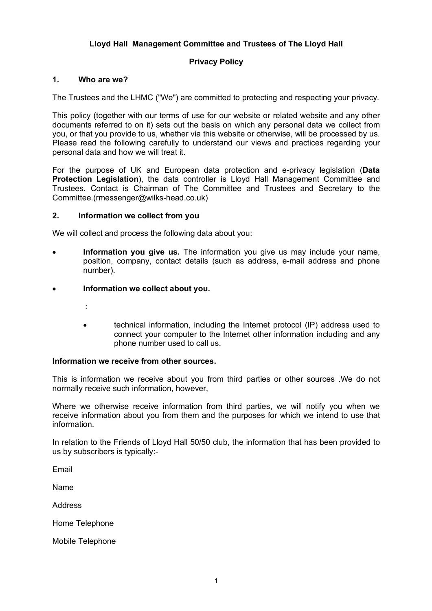# **Lloyd Hall Management Committee and Trustees of The Lloyd Hall**

# **Privacy Policy**

#### **1. Who are we?**

The Trustees and the LHMC ("We") are committed to protecting and respecting your privacy.

This policy (together with our terms of use for our website or related website and any other documents referred to on it) sets out the basis on which any personal data we collect from you, or that you provide to us, whether via this website or otherwise, will be processed by us. Please read the following carefully to understand our views and practices regarding your personal data and how we will treat it.

For the purpose of UK and European data protection and e-privacy legislation (**Data Protection Legislation**), the data controller is Lloyd Hall Management Committee and Trustees. Contact is Chairman of The Committee and Trustees and Secretary to the Committee.(rmessenger@wilks-head.co.uk)

#### **2. Information we collect from you**

We will collect and process the following data about you:

- **Information you give us.** The information you give us may include your name, position, company, contact details (such as address, e-mail address and phone number).
- **Information we collect about you.**
	- :
	- technical information, including the Internet protocol (IP) address used to connect your computer to the Internet other information including and any phone number used to call us.

#### **Information we receive from other sources.**

This is information we receive about you from third parties or other sources .We do not normally receive such information, however,

Where we otherwise receive information from third parties, we will notify you when we receive information about you from them and the purposes for which we intend to use that information.

In relation to the Friends of Lloyd Hall 50/50 club, the information that has been provided to us by subscribers is typically:-

Email

Name

Address

Home Telephone

Mobile Telephone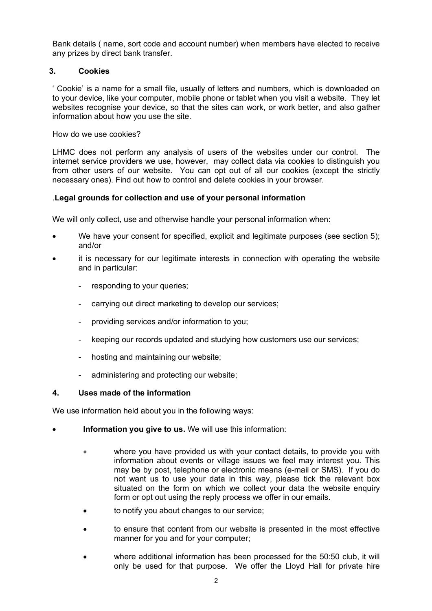Bank details ( name, sort code and account number) when members have elected to receive any prizes by direct bank transfer.

# **3. Cookies**

' Cookie' is a name for a small file, usually of letters and numbers, which is downloaded on to your device, like your computer, mobile phone or tablet when you visit a website. They let websites recognise your device, so that the sites can work, or work better, and also gather information about how you use the site.

How do we use cookies?

LHMC does not perform any analysis of users of the websites under our control. The internet service providers we use, however, may collect data via cookies to distinguish you from other users of our website. You can opt out of all our cookies (except the strictly necessary ones). Find out how to control and delete cookies in your browser.

# .**Legal grounds for collection and use of your personal information**

We will only collect, use and otherwise handle your personal information when:

- We have your consent for specified, explicit and legitimate purposes (see section 5); and/or
- it is necessary for our legitimate interests in connection with operating the website and in particular:
	- responding to your queries;
	- carrying out direct marketing to develop our services;
	- providing services and/or information to you;
	- keeping our records updated and studying how customers use our services;
	- hosting and maintaining our website;
	- administering and protecting our website;

### **4. Uses made of the information**

We use information held about you in the following ways:

- **Information you give to us.** We will use this information:
	- where you have provided us with your contact details, to provide you with information about events or village issues we feel may interest you. This may be by post, telephone or electronic means (e-mail or SMS). If you do not want us to use your data in this way, please tick the relevant box situated on the form on which we collect your data the website enquiry form or opt out using the reply process we offer in our emails.
	- to notify you about changes to our service;
	- to ensure that content from our website is presented in the most effective manner for you and for your computer;
	- where additional information has been processed for the 50:50 club, it will only be used for that purpose. We offer the Lloyd Hall for private hire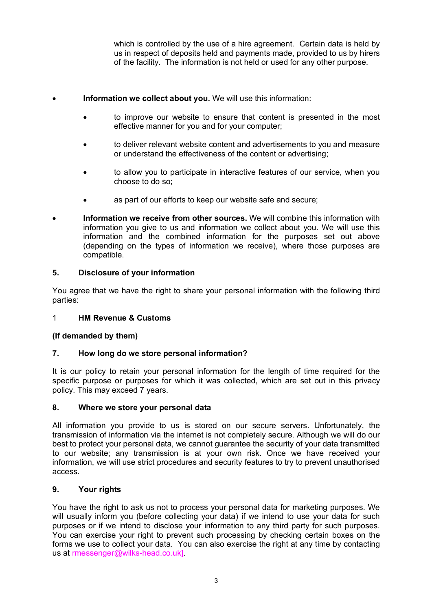which is controlled by the use of a hire agreement. Certain data is held by us in respect of deposits held and payments made, provided to us by hirers of the facility. The information is not held or used for any other purpose.

### • **Information we collect about you.** We will use this information:

- to improve our website to ensure that content is presented in the most effective manner for you and for your computer;
- to deliver relevant website content and advertisements to you and measure or understand the effectiveness of the content or advertising;
- to allow you to participate in interactive features of our service, when you choose to do so;
- as part of our efforts to keep our website safe and secure;
- **Information we receive from other sources.** We will combine this information with information you give to us and information we collect about you. We will use this information and the combined information for the purposes set out above (depending on the types of information we receive), where those purposes are compatible.

# **5. Disclosure of your information**

You agree that we have the right to share your personal information with the following third parties:

### 1 **HM Revenue & Customs**

### **(If demanded by them)**

### **7. How long do we store personal information?**

It is our policy to retain your personal information for the length of time required for the specific purpose or purposes for which it was collected, which are set out in this privacy policy. This may exceed 7 years.

### **8. Where we store your personal data**

All information you provide to us is stored on our secure servers. Unfortunately, the transmission of information via the internet is not completely secure. Although we will do our best to protect your personal data, we cannot guarantee the security of your data transmitted to our website; any transmission is at your own risk. Once we have received your information, we will use strict procedures and security features to try to prevent unauthorised access.

### **9. Your rights**

You have the right to ask us not to process your personal data for marketing purposes. We will usually inform you (before collecting your data) if we intend to use your data for such purposes or if we intend to disclose your information to any third party for such purposes. You can exercise your right to prevent such processing by checking certain boxes on the forms we use to collect your data. You can also exercise the right at any time by contacting us at rmessenger@wilks-head.co.uk].